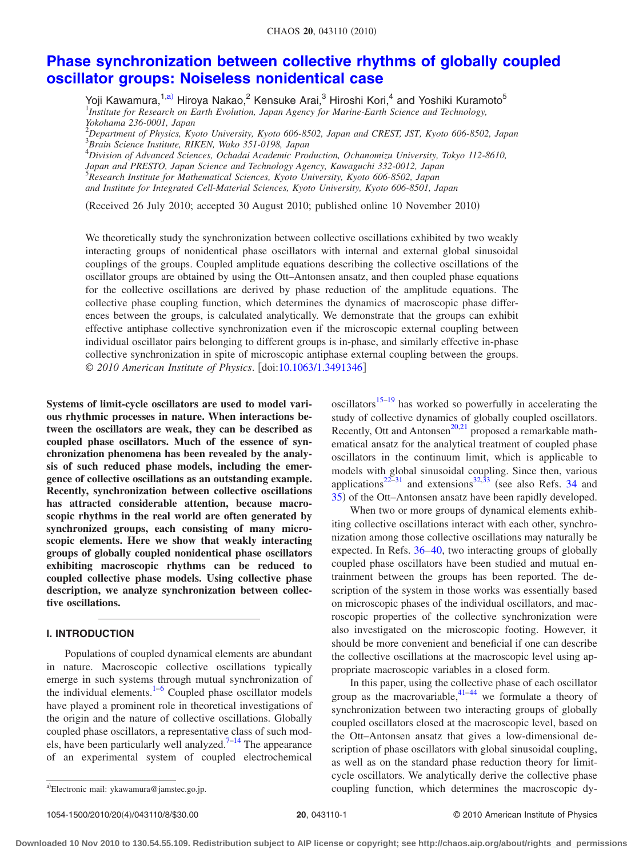# **[Phase synchronization between collective rhythms of globally coupled](http://dx.doi.org/10.1063/1.3491346) [oscillator groups: Noiseless nonidentical case](http://dx.doi.org/10.1063/1.3491346)**

Yoji Kawamura,<sup>1[,a](#page-0-0))</sup> Hiroya Nakao,<sup>2</sup> Kensuke Arai,<sup>3</sup> Hiroshi Kori,<sup>4</sup> and Yoshiki Kuramoto<sup>5</sup><br><sup>1</sup>Institute for Research on Earth Evolution, Japan Agency for Marine-Earth Science and Technology, *Yokohama 236-0001, Japan*

2 *Department of Physics, Kyoto University, Kyoto 606-8502, Japan and CREST, JST, Kyoto 606-8502, Japan* 3 *Brain Science Institute, RIKEN, Wako 351-0198, Japan*

4 *Division of Advanced Sciences, Ochadai Academic Production, Ochanomizu University, Tokyo 112-8610,*

*Japan and PRESTO, Japan Science and Technology Agency, Kawaguchi 332-0012, Japan* 5 *Research Institute for Mathematical Sciences, Kyoto University, Kyoto 606-8502, Japan*

*and Institute for Integrated Cell-Material Sciences, Kyoto University, Kyoto 606-8501, Japan*

(Received 26 July 2010; accepted 30 August 2010; published online 10 November 2010)

We theoretically study the synchronization between collective oscillations exhibited by two weakly interacting groups of nonidentical phase oscillators with internal and external global sinusoidal couplings of the groups. Coupled amplitude equations describing the collective oscillations of the oscillator groups are obtained by using the Ott–Antonsen ansatz, and then coupled phase equations for the collective oscillations are derived by phase reduction of the amplitude equations. The collective phase coupling function, which determines the dynamics of macroscopic phase differences between the groups, is calculated analytically. We demonstrate that the groups can exhibit effective antiphase collective synchronization even if the microscopic external coupling between individual oscillator pairs belonging to different groups is in-phase, and similarly effective in-phase collective synchronization in spite of microscopic antiphase external coupling between the groups. © *2010 American Institute of Physics*. doi[:10.1063/1.3491346](http://dx.doi.org/10.1063/1.3491346)

**Systems of limit-cycle oscillators are used to model various rhythmic processes in nature. When interactions between the oscillators are weak, they can be described as coupled phase oscillators. Much of the essence of synchronization phenomena has been revealed by the analysis of such reduced phase models, including the emergence of collective oscillations as an outstanding example. Recently, synchronization between collective oscillations has attracted considerable attention, because macroscopic rhythms in the real world are often generated by synchronized groups, each consisting of many microscopic elements. Here we show that weakly interacting groups of globally coupled nonidentical phase oscillators exhibiting macroscopic rhythms can be reduced to coupled collective phase models. Using collective phase description, we analyze synchronization between collective oscillations.**

#### **I. INTRODUCTION**

Populations of coupled dynamical elements are abundant in nature. Macroscopic collective oscillations typically emerge in such systems through mutual synchronization of the individual elements. $1-6$  $1-6$  Coupled phase oscillator models have played a prominent role in theoretical investigations of the origin and the nature of collective oscillations. Globally coupled phase oscillators, a representative class of such mod-els, have been particularly well analyzed.<sup>7[–14](#page-7-0)</sup> The appearance of an experimental system of coupled electrochemical

oscillators<sup>15[–19](#page-7-2)</sup> has worked so powerfully in accelerating the study of collective dynamics of globally coupled oscillators. Recently, Ott and Antonsen<sup>20[,21](#page-7-4)</sup> proposed a remarkable mathematical ansatz for the analytical treatment of coupled phase oscillators in the continuum limit, which is applicable to models with global sinusoidal coupling. Since then, various applications<sup>22–[31](#page-7-6)</sup> and extensions<sup>32[,33](#page-7-8)</sup> (see also Refs. [34](#page-7-9) and [35](#page-7-10)) of the Ott–Antonsen ansatz have been rapidly developed.

When two or more groups of dynamical elements exhibiting collective oscillations interact with each other, synchronization among those collective oscillations may naturally be expected. In Refs. [36](#page-7-11)[–40,](#page-7-12) two interacting groups of globally coupled phase oscillators have been studied and mutual entrainment between the groups has been reported. The description of the system in those works was essentially based on microscopic phases of the individual oscillators, and macroscopic properties of the collective synchronization were also investigated on the microscopic footing. However, it should be more convenient and beneficial if one can describe the collective oscillations at the macroscopic level using appropriate macroscopic variables in a closed form.

In this paper, using the collective phase of each oscillator group as the macrovariable,  $41-44$  $41-44$  we formulate a theory of synchronization between two interacting groups of globally coupled oscillators closed at the macroscopic level, based on the Ott–Antonsen ansatz that gives a low-dimensional description of phase oscillators with global sinusoidal coupling, as well as on the standard phase reduction theory for limitcycle oscillators. We analytically derive the collective phase coupling function, which determines the macroscopic dy-

<span id="page-0-0"></span>a)Electronic mail: ykawamura@jamstec.go.jp.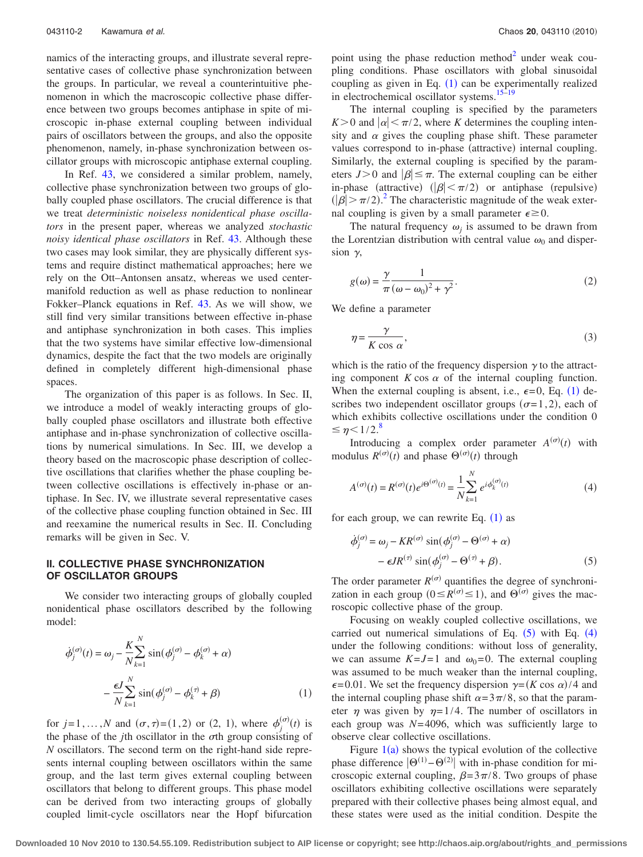namics of the interacting groups, and illustrate several representative cases of collective phase synchronization between the groups. In particular, we reveal a counterintuitive phenomenon in which the macroscopic collective phase difference between two groups becomes antiphase in spite of microscopic in-phase external coupling between individual pairs of oscillators between the groups, and also the opposite phenomenon, namely, in-phase synchronization between oscillator groups with microscopic antiphase external coupling.

In Ref. [43,](#page-7-15) we considered a similar problem, namely, collective phase synchronization between two groups of globally coupled phase oscillators. The crucial difference is that we treat *deterministic noiseless nonidentical phase oscillators* in the present paper, whereas we analyzed *stochastic noisy identical phase oscillators* in Ref. [43.](#page-7-15) Although these two cases may look similar, they are physically different systems and require distinct mathematical approaches; here we rely on the Ott–Antonsen ansatz, whereas we used centermanifold reduction as well as phase reduction to nonlinear Fokker–Planck equations in Ref. [43.](#page-7-15) As we will show, we still find very similar transitions between effective in-phase and antiphase synchronization in both cases. This implies that the two systems have similar effective low-dimensional dynamics, despite the fact that the two models are originally defined in completely different high-dimensional phase spaces.

The organization of this paper is as follows. In Sec. II, we introduce a model of weakly interacting groups of globally coupled phase oscillators and illustrate both effective antiphase and in-phase synchronization of collective oscillations by numerical simulations. In Sec. III, we develop a theory based on the macroscopic phase description of collective oscillations that clarifies whether the phase coupling between collective oscillations is effectively in-phase or antiphase. In Sec. IV, we illustrate several representative cases of the collective phase coupling function obtained in Sec. III and reexamine the numerical results in Sec. II. Concluding remarks will be given in Sec. V.

# **II. COLLECTIVE PHASE SYNCHRONIZATION OF OSCILLATOR GROUPS**

We consider two interacting groups of globally coupled nonidentical phase oscillators described by the following model:

<span id="page-1-0"></span>
$$
\dot{\phi}_j^{(\sigma)}(t) = \omega_j - \frac{K}{N} \sum_{k=1}^N \sin(\phi_j^{(\sigma)} - \phi_k^{(\sigma)} + \alpha)
$$

$$
-\frac{\epsilon J}{N} \sum_{k=1}^N \sin(\phi_j^{(\sigma)} - \phi_k^{(\tau)} + \beta)
$$
(1)

for  $j = 1, ..., N$  and  $(\sigma, \tau) = (1, 2)$  or  $(2, 1)$ , where  $\phi_j$  $t_i^{(\sigma)}(t)$  is the phase of the  $j$ th oscillator in the  $\sigma$ th group consisting of *N* oscillators. The second term on the right-hand side represents internal coupling between oscillators within the same group, and the last term gives external coupling between oscillators that belong to different groups. This phase model can be derived from two interacting groups of globally coupled limit-cycle oscillators near the Hopf bifurcation

point using the phase reduction method $2$  under weak coupling conditions. Phase oscillators with global sinusoidal coupling as given in Eq.  $(1)$  $(1)$  $(1)$  can be experimentally realized in electrochemical oscillator systems. $15-19$ 

The internal coupling is specified by the parameters  $K > 0$  and  $|\alpha| < \pi/2$ , where *K* determines the coupling intensity and  $\alpha$  gives the coupling phase shift. These parameter values correspond to in-phase (attractive) internal coupling. Similarly, the external coupling is specified by the parameters  $J>0$  and  $|\beta| \leq \pi$ . The external coupling can be either in-phase (attractive)  $(|\beta| < \pi/2)$  or antiphase (repulsive)  $(|\beta| > \pi/2)$  $(|\beta| > \pi/2)$  $(|\beta| > \pi/2)$ <sup>2</sup>. The characteristic magnitude of the weak external coupling is given by a small parameter  $\epsilon \ge 0$ .

The natural frequency  $\omega_i$  is assumed to be drawn from the Lorentzian distribution with central value  $\omega_0$  and dispersion  $\gamma$ ,

<span id="page-1-3"></span>
$$
g(\omega) = \frac{\gamma}{\pi} \frac{1}{(\omega - \omega_0)^2 + \gamma^2}.
$$
 (2)

<span id="page-1-4"></span>We define a parameter

$$
\eta = \frac{\gamma}{K \cos \alpha},\tag{3}
$$

which is the ratio of the frequency dispersion  $\gamma$  to the attracting component  $K \cos \alpha$  of the internal coupling function. When the external coupling is absent, i.e.,  $\epsilon = 0$ , Eq. ([1](#page-1-0)) describes two independent oscillator groups  $(\sigma=1,2)$ , each of which exhibits collective oscillations under the condition 0  $\leq \eta$  < 1/2.<sup>[8](#page-7-16)</sup>

Introducing a complex order parameter  $A^{(\sigma)}(t)$  with modulus  $R^{(\sigma)}(t)$  and phase  $\Theta^{(\sigma)}(t)$  through

<span id="page-1-2"></span>
$$
A^{(\sigma)}(t) = R^{(\sigma)}(t)e^{i\Theta^{(\sigma)}(t)} = \frac{1}{N} \sum_{k=1}^{N} e^{i\phi_k^{(\sigma)}(t)}
$$
(4)

<span id="page-1-1"></span>for each group, we can rewrite Eq.  $(1)$  $(1)$  $(1)$  as

$$
\dot{\phi}_j^{(\sigma)} = \omega_j - KR^{(\sigma)} \sin(\phi_j^{(\sigma)} - \Theta^{(\sigma)} + \alpha) \n- \epsilon J R^{(\tau)} \sin(\phi_j^{(\sigma)} - \Theta^{(\tau)} + \beta).
$$
\n(5)

The order parameter  $R^{(\sigma)}$  quantifies the degree of synchronization in each group  $(0 \leq R^{(\sigma)} \leq 1)$ , and  $\Theta^{(\sigma)}$  gives the macroscopic collective phase of the group.

Focusing on weakly coupled collective oscillations, we carried out numerical simulations of Eq.  $(5)$  $(5)$  $(5)$  with Eq.  $(4)$  $(4)$  $(4)$ under the following conditions: without loss of generality, we can assume  $K = J = 1$  and  $\omega_0 = 0$ . The external coupling was assumed to be much weaker than the internal coupling,  $\epsilon$ =0.01. We set the frequency dispersion  $\gamma$ =(*K* cos  $\alpha$ )/4 and the internal coupling phase shift  $\alpha=3\pi/8$ , so that the parameter  $\eta$  was given by  $\eta = 1/4$ . The number of oscillators in each group was *N*=4096, which was sufficiently large to observe clear collective oscillations.

Figure  $1(a)$  $1(a)$  shows the typical evolution of the collective phase difference  $|\Theta^{(1)} - \Theta^{(2)}|$  with in-phase condition for microscopic external coupling,  $\beta = 3\pi/8$ . Two groups of phase oscillators exhibiting collective oscillations were separately prepared with their collective phases being almost equal, and these states were used as the initial condition. Despite the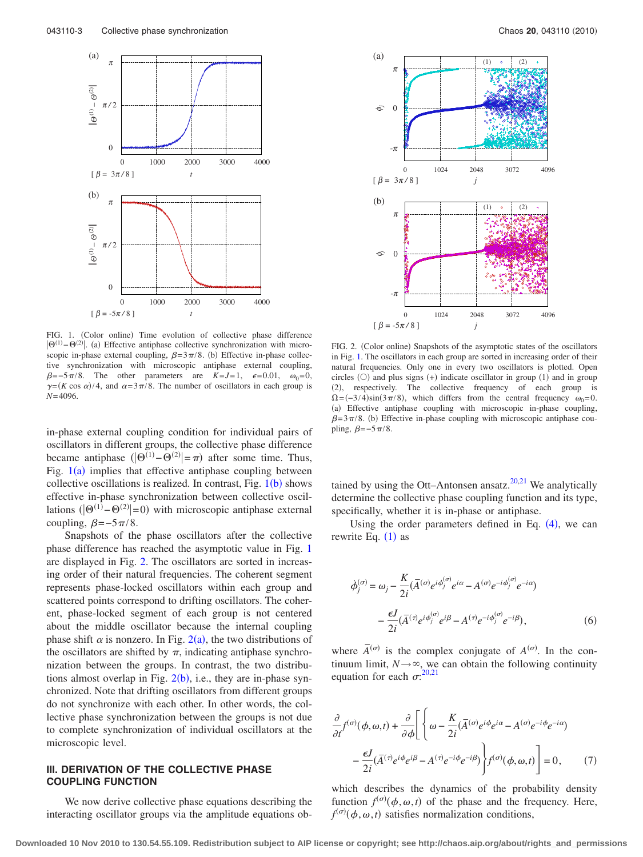<span id="page-2-0"></span>

FIG. 1. (Color online) Time evolution of collective phase difference  $|\Theta^{(1)}-\Theta^{(2)}|$ . (a) Effective antiphase collective synchronization with microscopic in-phase external coupling,  $\beta = 3\pi/8$ . (b) Effective in-phase collective synchronization with microscopic antiphase external coupling,  $\beta = -5\pi/8$ . The other parameters are  $K = J = 1$ ,  $\epsilon = 0.01$ ,  $\omega_0 = 0$ ,  $\gamma = (K \cos \alpha)/4$ , and  $\alpha = 3\pi/8$ . The number of oscillators in each group is *N*=4096.

in-phase external coupling condition for individual pairs of oscillators in different groups, the collective phase difference became antiphase  $(|\Theta^{(1)} - \Theta^{(2)}| = \pi)$  after some time. Thus, Fig.  $1(a)$  $1(a)$  implies that effective antiphase coupling between collective oscillations is realized. In contrast, Fig.  $1(b)$  $1(b)$  $1(b)$  shows effective in-phase synchronization between collective oscillations  $(|\Theta^{(1)} - \Theta^{(2)}| = 0)$  with microscopic antiphase external coupling,  $\beta = -5\pi/8$ .

Snapshots of the phase oscillators after the collective phase difference has reached the asymptotic value in Fig. [1](#page-2-0) are displayed in Fig. [2.](#page-2-1) The oscillators are sorted in increasing order of their natural frequencies. The coherent segment represents phase-locked oscillators within each group and scattered points correspond to drifting oscillators. The coherent, phase-locked segment of each group is not centered about the middle oscillator because the internal coupling phase shift  $\alpha$  is nonzero. In Fig. [2](#page-2-1)(a), the two distributions of the oscillators are shifted by  $\pi$ , indicating antiphase synchronization between the groups. In contrast, the two distributions almost overlap in Fig.  $2(b)$  $2(b)$ , i.e., they are in-phase synchronized. Note that drifting oscillators from different groups do not synchronize with each other. In other words, the collective phase synchronization between the groups is not due to complete synchronization of individual oscillators at the microscopic level.

## **III. DERIVATION OF THE COLLECTIVE PHASE COUPLING FUNCTION**

We now derive collective phase equations describing the interacting oscillator groups via the amplitude equations ob-

<span id="page-2-1"></span>

FIG. 2. (Color online) Snapshots of the asymptotic states of the oscillators in Fig. [1.](#page-2-0) The oscillators in each group are sorted in increasing order of their natural frequencies. Only one in every two oscillators is plotted. Open circles  $(0)$  and plus signs  $(+)$  indicate oscillator in group  $(1)$  and in group -2, respectively. The collective frequency of each group is  $\Omega = (-3/4)\sin(3\pi/8)$ , which differs from the central frequency  $\omega_0 = 0$ . (a) Effective antiphase coupling with microscopic in-phase coupling,  $\beta = 3\pi/8$ . (b) Effective in-phase coupling with microscopic antiphase coupling,  $\beta = -5\pi/8$ .

tained by using the Ott–Antonsen ansatz. $20,21$  $20,21$  We analytically determine the collective phase coupling function and its type, specifically, whether it is in-phase or antiphase.

Using the order parameters defined in Eq.  $(4)$  $(4)$  $(4)$ , we can rewrite Eq.  $(1)$  $(1)$  $(1)$  as

$$
\dot{\phi}_j^{(\sigma)} = \omega_j - \frac{K}{2i} (\bar{A}^{(\sigma)} e^{i\phi_j^{(\sigma)}} e^{i\alpha} - A^{(\sigma)} e^{-i\phi_j^{(\sigma)}} e^{-i\alpha})
$$

$$
-\frac{\epsilon J}{2i} (\bar{A}^{(\tau)} e^{i\phi_j^{(\sigma)}} e^{i\beta} - A^{(\tau)} e^{-i\phi_j^{(\sigma)}} e^{-i\beta}), \tag{6}
$$

where  $\overline{A}^{(\sigma)}$  is the complex conjugate of  $A^{(\sigma)}$ . In the continuum limit,  $N \rightarrow \infty$ , we can obtain the following continuity equation for each  $\sigma$ :  $^{20,21}$  $^{20,21}$  $^{20,21}$  $^{20,21}$ 

<span id="page-2-2"></span>
$$
\frac{\partial}{\partial t} f^{(\sigma)}(\phi, \omega, t) + \frac{\partial}{\partial \phi} \left[ \left\{ \omega - \frac{K}{2i} (\bar{A}^{(\sigma)} e^{i\phi} e^{i\alpha} - A^{(\sigma)} e^{-i\phi} e^{-i\alpha}) - \frac{\epsilon J}{2i} (\bar{A}^{(\tau)} e^{i\phi} e^{i\beta} - A^{(\tau)} e^{-i\phi} e^{-i\beta}) \right\} f^{(\sigma)}(\phi, \omega, t) \right] = 0, \quad (7)
$$

which describes the dynamics of the probability density function  $f^{(\sigma)}(\phi, \omega, t)$  of the phase and the frequency. Here,  $f^{(\sigma)}(\phi, \omega, t)$  satisfies normalization conditions,

**Downloaded 10 Nov 2010 to 130.54.55.109. Redistribution subject to AIP license or copyright; see http://chaos.aip.org/about/rights\_and\_permissions**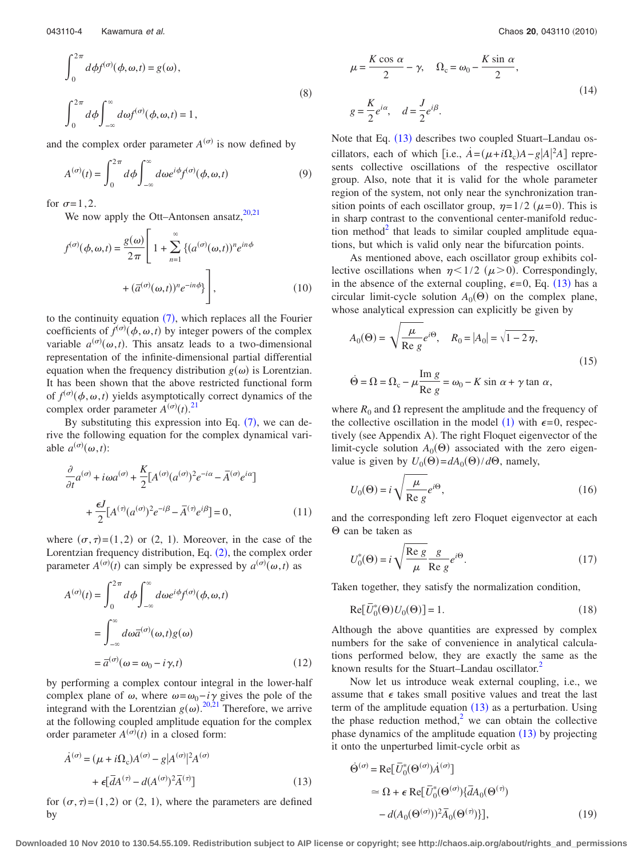$$
\int_{0}^{2\pi} d\phi f^{(\sigma)}(\phi, \omega, t) = g(\omega),
$$
  

$$
\int_{0}^{2\pi} d\phi \int_{-\infty}^{\infty} d\omega f^{(\sigma)}(\phi, \omega, t) = 1,
$$
 (8)

and the complex order parameter  $A^{(\sigma)}$  is now defined by

$$
A^{(\sigma)}(t) = \int_0^{2\pi} d\phi \int_{-\infty}^{\infty} d\omega e^{i\phi} f^{(\sigma)}(\phi, \omega, t)
$$
 (9)

for  $\sigma=1,2$ .

We now apply the Ott–Antonsen ansatz, $20,21$  $20,21$ 

$$
f^{(\sigma)}(\phi, \omega, t) = \frac{g(\omega)}{2\pi} \left[ 1 + \sum_{n=1}^{\infty} \left\{ (a^{(\sigma)}(\omega, t))^n e^{in\phi} + (\overline{a}^{(\sigma)}(\omega, t))^n e^{-in\phi} \right\} \right],
$$
 (10)

to the continuity equation  $(7)$  $(7)$  $(7)$ , which replaces all the Fourier coefficients of  $f^{(\sigma)}(\phi, \omega, t)$  by integer powers of the complex variable  $a^{(\sigma)}(\omega, t)$ . This ansatz leads to a two-dimensional representation of the infinite-dimensional partial differential equation when the frequency distribution  $g(\omega)$  is Lorentzian. It has been shown that the above restricted functional form of  $f^{(\sigma)}(\phi, \omega, t)$  yields asymptotically correct dynamics of the complex order parameter  $A^{(\sigma)}(t)$ .<sup>[21](#page-7-4)</sup>

By substituting this expression into Eq.  $(7)$  $(7)$  $(7)$ , we can derive the following equation for the complex dynamical variable  $a^{(\sigma)}(\omega, t)$ :

$$
\frac{\partial}{\partial t}a^{(\sigma)} + i\omega a^{(\sigma)} + \frac{K}{2}[A^{(\sigma)}(a^{(\sigma)})^2 e^{-i\alpha} - \overline{A}^{(\sigma)}e^{i\alpha}]
$$

$$
+ \frac{\epsilon J}{2}[A^{(\tau)}(a^{(\sigma)})^2 e^{-i\beta} - \overline{A}^{(\tau)}e^{i\beta}] = 0,
$$
(11)

where  $(\sigma, \tau) = (1, 2)$  or  $(2, 1)$ . Moreover, in the case of the Lorentzian frequency distribution, Eq.  $(2)$  $(2)$  $(2)$ , the complex order parameter  $A^{(\sigma)}(t)$  can simply be expressed by  $a^{(\sigma)}(\omega, t)$  as

$$
A^{(\sigma)}(t) = \int_0^{2\pi} d\phi \int_{-\infty}^{\infty} d\omega e^{i\phi} f^{(\sigma)}(\phi, \omega, t)
$$

$$
= \int_{-\infty}^{\infty} d\omega \overline{a}^{(\sigma)}(\omega, t) g(\omega)
$$

$$
= \overline{a}^{(\sigma)}(\omega = \omega_0 - i\gamma, t)
$$
(12)

by performing a complex contour integral in the lower-half complex plane of  $\omega$ , where  $\omega = \omega_0 - i\gamma$  gives the pole of the integrand with the Lorentzian  $g(\omega)$ .<sup>[20](#page-7-3)[,21](#page-7-4)</sup> Therefore, we arrive at the following coupled amplitude equation for the complex order parameter  $A^{(\sigma)}(t)$  in a closed form:

<span id="page-3-0"></span>
$$
\dot{A}^{(\sigma)} = (\mu + i\Omega_c)A^{(\sigma)} - g|A^{(\sigma)}|^2 A^{(\sigma)}
$$

$$
+ \epsilon [\bar{d}A^{(\tau)} - d(A^{(\sigma)})^2 \bar{A}^{(\tau)}]
$$
(13)

for  $(\sigma, \tau) = (1, 2)$  or  $(2, 1)$ , where the parameters are defined by

<span id="page-3-1"></span>
$$
\mu = \frac{K \cos \alpha}{2} - \gamma, \quad \Omega_c = \omega_0 - \frac{K \sin \alpha}{2},
$$
  

$$
g = \frac{K}{2} e^{i\alpha}, \quad d = \frac{J}{2} e^{i\beta}.
$$
 (14)

Note that Eq. ([13](#page-3-0)) describes two coupled Stuart–Landau oscillators, each of which [i.e.,  $\dot{A} = (\mu + i\Omega_c)A - g[A]^2 A$ ] represents collective oscillations of the respective oscillator group. Also, note that it is valid for the whole parameter region of the system, not only near the synchronization transition points of each oscillator group,  $\eta = 1/2$  ( $\mu = 0$ ). This is in sharp contrast to the conventional center-manifold reduction method<sup>2</sup> that leads to similar coupled amplitude equations, but which is valid only near the bifurcation points.

As mentioned above, each oscillator group exhibits collective oscillations when  $\eta < 1/2$  ( $\mu > 0$ ). Correspondingly, in the absence of the external coupling,  $\epsilon = 0$ , Eq. ([13](#page-3-0)) has a circular limit-cycle solution  $A_0(\Theta)$  on the complex plane, whose analytical expression can explicitly be given by

<span id="page-3-2"></span>
$$
A_0(\Theta) = \sqrt{\frac{\mu}{\text{Re }g}} e^{i\Theta}, \quad R_0 = |A_0| = \sqrt{1 - 2\eta},
$$
  

$$
\dot{\Theta} = \Omega = \Omega_c - \mu \frac{\text{Im }g}{\text{Re }g} = \omega_0 - K \sin \alpha + \gamma \tan \alpha,
$$
 (15)

where  $R_0$  and  $\Omega$  represent the amplitude and the frequency of the collective oscillation in the model ([1](#page-1-0)) with  $\epsilon = 0$ , respectively (see Appendix A). The right Floquet eigenvector of the limit-cycle solution  $A_0(\Theta)$  associated with the zero eigenvalue is given by  $U_0(\Theta) = dA_0(\Theta)/d\Theta$ , namely,

$$
U_0(\Theta) = i \sqrt{\frac{\mu}{\text{Re } g}} e^{i\Theta},\tag{16}
$$

and the corresponding left zero Floquet eigenvector at each  $\Theta$  can be taken as

<span id="page-3-3"></span>
$$
U_0^*(\Theta) = i \sqrt{\frac{\text{Re } g}{\mu}} \frac{g}{\text{Re } g} e^{i\Theta}.
$$
 (17)

Taken together, they satisfy the normalization condition,

$$
\operatorname{Re}[\bar{U}_0^*(\Theta)U_0(\Theta)] = 1. \tag{18}
$$

Although the above quantities are expressed by complex numbers for the sake of convenience in analytical calculations performed below, they are exactly the same as the known results for the Stuart–Landau oscillator.<sup>2</sup>

Now let us introduce weak external coupling, i.e., we assume that  $\epsilon$  takes small positive values and treat the last term of the amplitude equation  $(13)$  $(13)$  $(13)$  as a perturbation. Using the phase reduction method, $\lambda^2$  we can obtain the collective phase dynamics of the amplitude equation  $(13)$  $(13)$  $(13)$  by projecting it onto the unperturbed limit-cycle orbit as

$$
\dot{\Theta}^{(\sigma)} = \text{Re}[\bar{U}_0^*(\Theta^{(\sigma)})\dot{A}^{(\sigma)}]
$$
  
\n
$$
\approx \Omega + \epsilon \text{ Re}[\bar{U}_0^*(\Theta^{(\sigma)})\{\bar{d}A_0(\Theta^{(\tau)})
$$
  
\n
$$
-d(A_0(\Theta^{(\sigma)}))^2\bar{A}_0(\Theta^{(\tau)})\}, \qquad (19)
$$

**Downloaded 10 Nov 2010 to 130.54.55.109. Redistribution subject to AIP license or copyright; see http://chaos.aip.org/about/rights\_and\_permissions**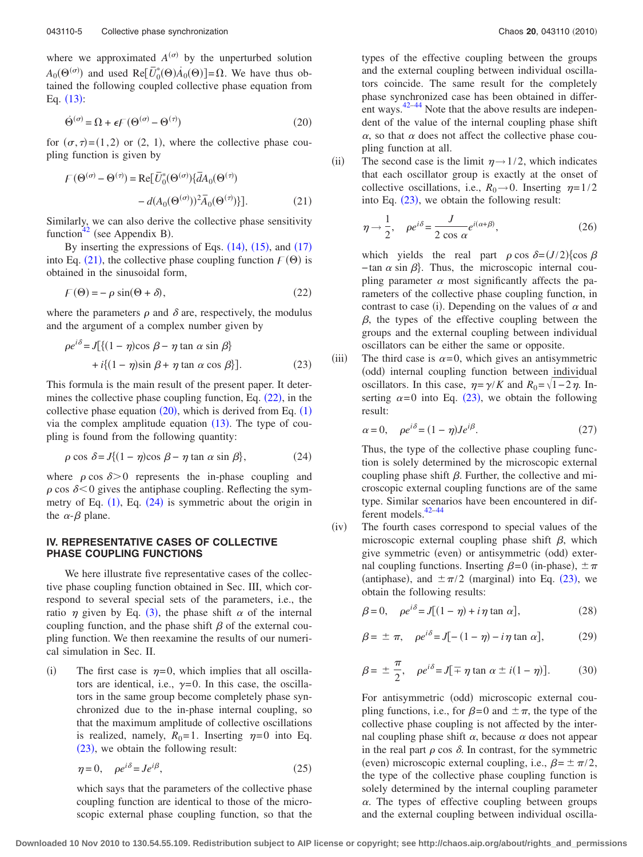where we approximated  $A^{(\sigma)}$  by the unperturbed solution  $A_0(\Theta^{(\sigma)})$  and used Re[ $\overline{U}_0^*(\Theta)A_0(\Theta)$ ]= $\Omega$ . We have thus obtained the following coupled collective phase equation from Eq.  $(13)$  $(13)$  $(13)$ :

<span id="page-4-2"></span>
$$
\dot{\Theta}^{(\sigma)} = \Omega + \epsilon \mathcal{F} \left( \Theta^{(\sigma)} - \Theta^{(\tau)} \right) \tag{20}
$$

for  $(\sigma, \tau) = (1, 2)$  or  $(2, 1)$ , where the collective phase coupling function is given by

<span id="page-4-0"></span>
$$
F(\Theta^{(\sigma)} - \Theta^{(\tau)}) = \text{Re}[\bar{U}_0^*(\Theta^{(\sigma)})\{\bar{d}A_0(\Theta^{(\tau)}) - d(A_0(\Theta^{(\sigma)}))^2\bar{A}_0(\Theta^{(\tau)})\}].
$$
\n(21)

Similarly, we can also derive the collective phase sensitivity function<sup>42</sup> (see Appendix B).

By inserting the expressions of Eqs.  $(14)$  $(14)$  $(14)$ ,  $(15)$  $(15)$  $(15)$ , and  $(17)$  $(17)$  $(17)$ into Eq. ([21](#page-4-0)), the collective phase coupling function  $F(\Theta)$  is obtained in the sinusoidal form,

<span id="page-4-1"></span>
$$
\mathcal{F}(\Theta) = -\rho \sin(\Theta + \delta),\tag{22}
$$

where the parameters  $\rho$  and  $\delta$  are, respectively, the modulus and the argument of a complex number given by

<span id="page-4-4"></span>
$$
\rho e^{i\delta} = J[\{(1 - \eta)\cos \beta - \eta \tan \alpha \sin \beta\} + i\{(1 - \eta)\sin \beta + \eta \tan \alpha \cos \beta\}].
$$
 (23)

This formula is the main result of the present paper. It determines the collective phase coupling function, Eq.  $(22)$  $(22)$  $(22)$ , in the collective phase equation  $(20)$  $(20)$  $(20)$ , which is derived from Eq.  $(1)$  $(1)$  $(1)$ via the complex amplitude equation  $(13)$  $(13)$  $(13)$ . The type of coupling is found from the following quantity:

<span id="page-4-3"></span>
$$
\rho \cos \delta = J \{ (1 - \eta) \cos \beta - \eta \tan \alpha \sin \beta \},\tag{24}
$$

where  $\rho \cos \delta > 0$  represents the in-phase coupling and  $\rho$  cos  $\delta$  < 0 gives the antiphase coupling. Reflecting the symmetry of Eq.  $(1)$  $(1)$  $(1)$ , Eq.  $(24)$  $(24)$  $(24)$  is symmetric about the origin in the  $\alpha$ - $\beta$  plane.

# **IV. REPRESENTATIVE CASES OF COLLECTIVE PHASE COUPLING FUNCTIONS**

We here illustrate five representative cases of the collective phase coupling function obtained in Sec. III, which correspond to several special sets of the parameters, i.e., the ratio  $\eta$  given by Eq. ([3](#page-1-4)), the phase shift  $\alpha$  of the internal coupling function, and the phase shift  $\beta$  of the external coupling function. We then reexamine the results of our numerical simulation in Sec. II.

 $(i)$ The first case is  $\eta = 0$ , which implies that all oscillators are identical, i.e.,  $\gamma=0$ . In this case, the oscillators in the same group become completely phase synchronized due to the in-phase internal coupling, so that the maximum amplitude of collective oscillations is realized, namely,  $R_0 = 1$ . Inserting  $\eta = 0$  into Eq. ([23](#page-4-4)), we obtain the following result:

$$
\eta = 0, \quad \rho e^{i\delta} = J e^{i\beta}, \tag{25}
$$

which says that the parameters of the collective phase coupling function are identical to those of the microscopic external phase coupling function, so that the types of the effective coupling between the groups and the external coupling between individual oscillators coincide. The same result for the completely phase synchronized case has been obtained in different ways. $42-44$  $42-44$  Note that the above results are independent of the value of the internal coupling phase shift  $\alpha$ , so that  $\alpha$  does not affect the collective phase coupling function at all.

 $(ii)$ The second case is the limit  $\eta \rightarrow 1/2$ , which indicates that each oscillator group is exactly at the onset of collective oscillations, i.e.,  $R_0 \rightarrow 0$ . Inserting  $\eta = 1/2$ into Eq.  $(23)$  $(23)$  $(23)$ , we obtain the following result:

$$
\eta \to \frac{1}{2}, \quad \rho e^{i\delta} = \frac{J}{2 \cos \alpha} e^{i(\alpha + \beta)},\tag{26}
$$

which yields the real part  $\rho \cos \delta = (J/2) \{ \cos \beta$  $-\tan \alpha \sin \beta$ . Thus, the microscopic internal coupling parameter  $\alpha$  most significantly affects the parameters of the collective phase coupling function, in contrast to case (i). Depending on the values of  $\alpha$  and  $\beta$ , the types of the effective coupling between the groups and the external coupling between individual oscillators can be either the same or opposite.

 $(iii)$ The third case is  $\alpha=0$ , which gives an antisymmetric (odd) internal coupling function between individual oscillators. In this case,  $\eta = \gamma/K$  and  $R_0 = \sqrt{1-2\eta}$ . Inserting  $\alpha = 0$  into Eq. ([23](#page-4-4)), we obtain the following result:

$$
\alpha = 0, \quad \rho e^{i\delta} = (1 - \eta)J e^{i\beta}.
$$
 (27)

Thus, the type of the collective phase coupling function is solely determined by the microscopic external coupling phase shift  $\beta$ . Further, the collective and microscopic external coupling functions are of the same type. Similar scenarios have been encountered in different models[.42–](#page-7-17)[44](#page-7-14)

 $(iv)$ The fourth cases correspond to special values of the microscopic external coupling phase shift  $\beta$ , which give symmetric (even) or antisymmetric (odd) external coupling functions. Inserting  $\beta = 0$  (in-phase),  $\pm \pi$ (antiphase), and  $\pm \pi/2$  (marginal) into Eq. ([23](#page-4-4)), we obtain the following results:

$$
\beta = 0, \quad \rho e^{i\delta} = J[(1 - \eta) + i\eta \tan \alpha], \tag{28}
$$

$$
\beta = \pm \pi, \quad \rho e^{i\delta} = J[-(1-\eta) - i\eta \tan \alpha], \tag{29}
$$

$$
\beta = \pm \frac{\pi}{2}, \quad \rho e^{i\delta} = J[\mp \eta \tan \alpha \pm i(1 - \eta)]. \tag{30}
$$

For antisymmetric (odd) microscopic external coupling functions, i.e., for  $\beta = 0$  and  $\pm \pi$ , the type of the collective phase coupling is not affected by the internal coupling phase shift  $\alpha$ , because  $\alpha$  does not appear in the real part  $\rho$  cos  $\delta$ . In contrast, for the symmetric (even) microscopic external coupling, i.e.,  $\beta = \pm \pi/2$ , the type of the collective phase coupling function is solely determined by the internal coupling parameter  $\alpha$ . The types of effective coupling between groups and the external coupling between individual oscilla-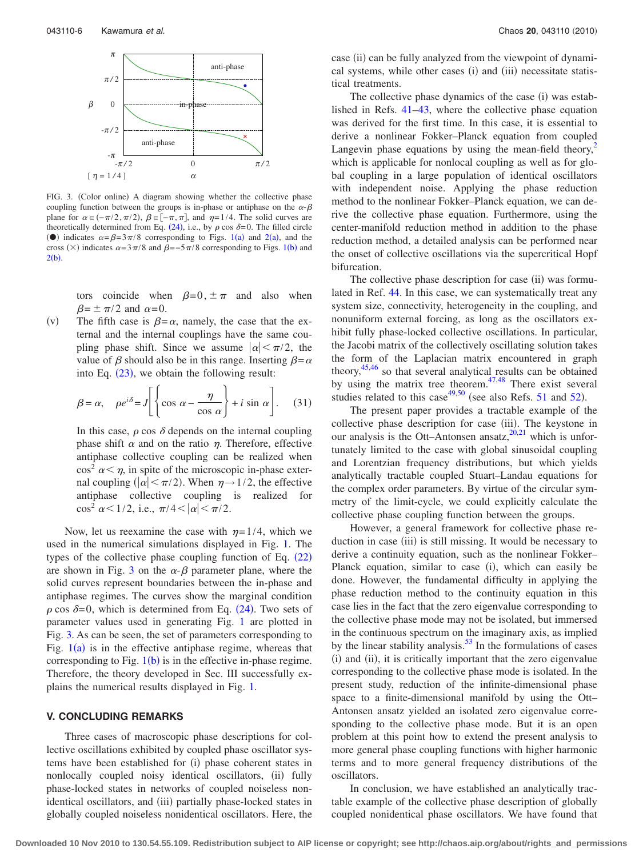<span id="page-5-0"></span>

FIG. 3. (Color online) A diagram showing whether the collective phase coupling function between the groups is in-phase or antiphase on the  $\alpha$ - $\beta$ plane for  $\alpha \in (-\pi/2, \pi/2)$ ,  $\beta \in [-\pi, \pi]$ , and  $\eta = 1/4$ . The solid curves are theoretically determined from Eq.  $(24)$  $(24)$  $(24)$ , i.e., by  $\rho$  cos  $\delta = 0$ . The filled circle (•) indicates  $\alpha = \beta = 3\pi/8$  corresponding to Figs. [1](#page-2-0)(a) and [2](#page-2-1)(a), and the cross  $(\times)$  indicates  $\alpha = 3\pi/8$  and  $\beta = -5\pi/8$  corresponding to Figs. [1](#page-2-0)(b) and  $2(b)$  $2(b)$ .

tors coincide when  $\beta=0, \pm \pi$  and also when  $\beta = \pm \pi/2$  and  $\alpha = 0$ .

 $(v)$ The fifth case is  $\beta = \alpha$ , namely, the case that the external and the internal couplings have the same coupling phase shift. Since we assume  $|\alpha| < \pi/2$ , the value of  $\beta$  should also be in this range. Inserting  $\beta = \alpha$ into Eq.  $(23)$  $(23)$  $(23)$ , we obtain the following result:

$$
\beta = \alpha, \quad \rho e^{i\delta} = J \left[ \left\{ \cos \alpha - \frac{\eta}{\cos \alpha} \right\} + i \sin \alpha \right]. \tag{31}
$$

In this case,  $\rho$  cos  $\delta$  depends on the internal coupling phase shift  $\alpha$  and on the ratio  $\eta$ . Therefore, effective antiphase collective coupling can be realized when  $\cos^2 \alpha \leq \eta$ , in spite of the microscopic in-phase external coupling ( $|\alpha| < \pi/2$ ). When  $\eta \rightarrow 1/2$ , the effective antiphase collective coupling is realized for  $\cos^2 \alpha < 1/2$ , i.e.,  $\pi/4 < |\alpha| < \pi/2$ .

Now, let us reexamine the case with  $\eta=1/4$ , which we used in the numerical simulations displayed in Fig. [1.](#page-2-0) The types of the collective phase coupling function of Eq.  $(22)$  $(22)$  $(22)$ are shown in Fig. [3](#page-5-0) on the  $\alpha$ - $\beta$  parameter plane, where the solid curves represent boundaries between the in-phase and antiphase regimes. The curves show the marginal condition  $\rho$  cos  $\delta = 0$ , which is determined from Eq. ([24](#page-4-3)). Two sets of parameter values used in generating Fig. [1](#page-2-0) are plotted in Fig. [3.](#page-5-0) As can be seen, the set of parameters corresponding to Fig.  $1(a)$  $1(a)$  is in the effective antiphase regime, whereas that corresponding to Fig.  $1(b)$  $1(b)$  is in the effective in-phase regime. Therefore, the theory developed in Sec. III successfully explains the numerical results displayed in Fig. [1.](#page-2-0)

#### **V. CONCLUDING REMARKS**

Three cases of macroscopic phase descriptions for collective oscillations exhibited by coupled phase oscillator systems have been established for (i) phase coherent states in nonlocally coupled noisy identical oscillators, (ii) fully phase-locked states in networks of coupled noiseless nonidentical oscillators, and (iii) partially phase-locked states in globally coupled noiseless nonidentical oscillators. Here, the

case (ii) can be fully analyzed from the viewpoint of dynamical systems, while other cases (i) and (iii) necessitate statistical treatments.

The collective phase dynamics of the case (i) was established in Refs. [41–](#page-7-13)[43,](#page-7-15) where the collective phase equation was derived for the first time. In this case, it is essential to derive a nonlinear Fokker–Planck equation from coupled Langevin phase equations by using the mean-field theory, $\frac{2}{3}$ which is applicable for nonlocal coupling as well as for global coupling in a large population of identical oscillators with independent noise. Applying the phase reduction method to the nonlinear Fokker–Planck equation, we can derive the collective phase equation. Furthermore, using the center-manifold reduction method in addition to the phase reduction method, a detailed analysis can be performed near the onset of collective oscillations via the supercritical Hopf bifurcation.

The collective phase description for case (ii) was formulated in Ref. [44.](#page-7-14) In this case, we can systematically treat any system size, connectivity, heterogeneity in the coupling, and nonuniform external forcing, as long as the oscillators exhibit fully phase-locked collective oscillations. In particular, the Jacobi matrix of the collectively oscillating solution takes the form of the Laplacian matrix encountered in graph theory[,45](#page-7-18)[,46](#page-7-19) so that several analytical results can be obtained by using the matrix tree theorem. $47,48$  $47,48$  There exist several studies related to this case<sup>49,[50](#page-7-23)</sup> (see also Refs. [51](#page-7-24) and [52](#page-7-25)).

The present paper provides a tractable example of the collective phase description for case (iii). The keystone in our analysis is the Ott–Antonsen ansatz, $20,21$  $20,21$  which is unfortunately limited to the case with global sinusoidal coupling and Lorentzian frequency distributions, but which yields analytically tractable coupled Stuart–Landau equations for the complex order parameters. By virtue of the circular symmetry of the limit-cycle, we could explicitly calculate the collective phase coupling function between the groups.

However, a general framework for collective phase reduction in case (iii) is still missing. It would be necessary to derive a continuity equation, such as the nonlinear Fokker– Planck equation, similar to case (i), which can easily be done. However, the fundamental difficulty in applying the phase reduction method to the continuity equation in this case lies in the fact that the zero eigenvalue corresponding to the collective phase mode may not be isolated, but immersed in the continuous spectrum on the imaginary axis, as implied by the linear stability analysis. $53$  In the formulations of cases (i) and (ii), it is critically important that the zero eigenvalue corresponding to the collective phase mode is isolated. In the present study, reduction of the infinite-dimensional phase space to a finite-dimensional manifold by using the Ott– Antonsen ansatz yielded an isolated zero eigenvalue corresponding to the collective phase mode. But it is an open problem at this point how to extend the present analysis to more general phase coupling functions with higher harmonic terms and to more general frequency distributions of the oscillators.

In conclusion, we have established an analytically tractable example of the collective phase description of globally coupled nonidentical phase oscillators. We have found that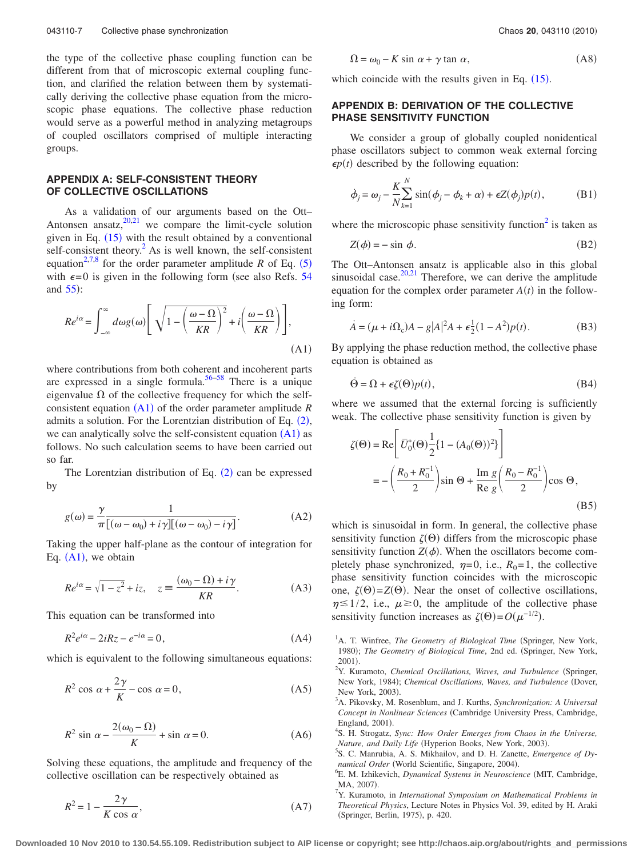the type of the collective phase coupling function can be different from that of microscopic external coupling function, and clarified the relation between them by systematically deriving the collective phase equation from the microscopic phase equations. The collective phase reduction would serve as a powerful method in analyzing metagroups of coupled oscillators comprised of multiple interacting groups.

## **APPENDIX A: SELF-CONSISTENT THEORY OF COLLECTIVE OSCILLATIONS**

As a validation of our arguments based on the Ott– Antonsen ansatz, $20,21$  $20,21$  we compare the limit-cycle solution given in Eq.  $(15)$  $(15)$  $(15)$  with the result obtained by a conventional self-consistent theory. $<sup>2</sup>$  As is well known, the self-consistent</sup> equation<sup>2,[7,](#page-6-2)[8](#page-7-16)</sup> for the order parameter amplitude *R* of Eq.  $(5)$  $(5)$  $(5)$ with  $\epsilon = 0$  is given in the following form (see also Refs. [54](#page-7-27) and  $55$ :

<span id="page-6-4"></span>
$$
Re^{i\alpha} = \int_{-\infty}^{\infty} d\omega g(\omega) \left[ \sqrt{1 - \left( \frac{\omega - \Omega}{KR} \right)^2} + i \left( \frac{\omega - \Omega}{KR} \right) \right],
$$
\n(A1)

where contributions from both coherent and incoherent parts are expressed in a single formula.<sup>56[–58](#page-7-30)</sup> There is a unique eigenvalue  $\Omega$  of the collective frequency for which the self-consistent equation ([A1](#page-6-4)) of the order parameter amplitude *R* admits a solution. For the Lorentzian distribution of Eq.  $(2)$  $(2)$  $(2)$ , we can analytically solve the self-consistent equation  $(A1)$  $(A1)$  $(A1)$  as follows. No such calculation seems to have been carried out so far.

The Lorentzian distribution of Eq.  $(2)$  $(2)$  $(2)$  can be expressed by

$$
g(\omega) = \frac{\gamma}{\pi} \frac{1}{[(\omega - \omega_0) + i\gamma][(\omega - \omega_0) - i\gamma]}.
$$
 (A2)

Taking the upper half-plane as the contour of integration for Eq.  $(A1)$  $(A1)$  $(A1)$ , we obtain

$$
Re^{i\alpha} = \sqrt{1 - z^2} + iz, \quad z \equiv \frac{(\omega_0 - \Omega) + i\gamma}{KR}.
$$
 (A3)

This equation can be transformed into

$$
R^2 e^{i\alpha} - 2iRz - e^{-i\alpha} = 0,
$$
\n(A4)

which is equivalent to the following simultaneous equations:

$$
R^2 \cos \alpha + \frac{2\gamma}{K} - \cos \alpha = 0, \tag{A5}
$$

$$
R^2 \sin \alpha - \frac{2(\omega_0 - \Omega)}{K} + \sin \alpha = 0.
$$
 (A6)

Solving these equations, the amplitude and frequency of the collective oscillation can be respectively obtained as

$$
R^2 = 1 - \frac{2\gamma}{K\cos\alpha},\tag{A7}
$$

$$
\Omega = \omega_0 - K \sin \alpha + \gamma \tan \alpha, \tag{A8}
$$

which coincide with the results given in Eq.  $(15)$  $(15)$  $(15)$ .

# **APPENDIX B: DERIVATION OF THE COLLECTIVE PHASE SENSITIVITY FUNCTION**

We consider a group of globally coupled nonidentical phase oscillators subject to common weak external forcing  $\epsilon p(t)$  described by the following equation:

$$
\dot{\phi}_j = \omega_j - \frac{K}{N} \sum_{k=1}^N \sin(\phi_j - \phi_k + \alpha) + \epsilon Z(\phi_j) p(t), \tag{B1}
$$

where the microscopic phase sensitivity function<sup>2</sup> is taken as

$$
Z(\phi) = -\sin \phi. \tag{B2}
$$

The Ott–Antonsen ansatz is applicable also in this global sinusoidal case. $20,21$  $20,21$  Therefore, we can derive the amplitude equation for the complex order parameter  $A(t)$  in the following form:

$$
\dot{A} = (\mu + i\Omega_c)A - g|A|^2 A + \epsilon \frac{1}{2}(1 - A^2)p(t).
$$
 (B3)

By applying the phase reduction method, the collective phase equation is obtained as

$$
\dot{\Theta} = \Omega + \epsilon \zeta(\Theta) p(t), \tag{B4}
$$

where we assumed that the external forcing is sufficiently weak. The collective phase sensitivity function is given by

$$
\zeta(\Theta) = \text{Re}\left[\overline{U}_0^*(\Theta)\frac{1}{2}\left\{1 - (A_0(\Theta))^2\right\}\right]
$$

$$
= -\left(\frac{R_0 + R_0^{-1}}{2}\right)\sin\Theta + \frac{\text{Im } g}{\text{Re } g}\left(\frac{R_0 - R_0^{-1}}{2}\right)\cos\Theta,
$$
(B5)

which is sinusoidal in form. In general, the collective phase sensitivity function  $\zeta(\Theta)$  differs from the microscopic phase sensitivity function  $Z(\phi)$ . When the oscillators become completely phase synchronized,  $\eta=0$ , i.e.,  $R_0=1$ , the collective phase sensitivity function coincides with the microscopic one,  $\zeta(\Theta) = Z(\Theta)$ . Near the onset of collective oscillations,  $\eta \leq 1/2$ , i.e.,  $\mu \geq 0$ , the amplitude of the collective phase sensitivity function increases as  $\zeta(\Theta) = O(\mu^{-1/2})$ .

<span id="page-6-0"></span><sup>1</sup>A. T. Winfree, *The Geometry of Biological Time* (Springer, New York, 1980); The Geometry of Biological Time, 2nd ed. (Springer, New York,  $2001$ ).

- A. Pikovsky, M. Rosenblum, and J. Kurths, *Synchronization: A Universal* Concept in Nonlinear Sciences (Cambridge University Press, Cambridge, England, 2001).
- S. H. Strogatz, *Sync: How Order Emerges from Chaos in the Universe, Nature, and Daily Life* (Hyperion Books, New York, 2003).<br><sup>5</sup>S. C. Manrubia, A. S. Mikhailov, and D. H. Zanatta, Emac
- S. C. Manrubia, A. S. Mikhailov, and D. H. Zanette, *Emergence of Dynamical Order* (World Scientific, Singapore, 2004).<br><sup>6</sup>E. M. Jabikavish, Dunamical Systems in Nauvascia
- <span id="page-6-1"></span>E. M. Izhikevich, *Dynamical Systems in Neuroscience* (MIT, Cambridge, MA, 2007).
- <span id="page-6-2"></span>Y. Kuramoto, in *International Symposium on Mathematical Problems in Theoretical Physics*, Lecture Notes in Physics Vol. 39, edited by H. Araki -Springer, Berlin, 1975, p. 420.

**Downloaded 10 Nov 2010 to 130.54.55.109. Redistribution subject to AIP license or copyright; see http://chaos.aip.org/about/rights\_and\_permissions**

<span id="page-6-3"></span>Y. Kuramoto, Chemical Oscillations, Waves, and Turbulence (Springer, New York, 1984); *Chemical Oscillations*, Waves, and Turbulence (Dover, New York, 2003).